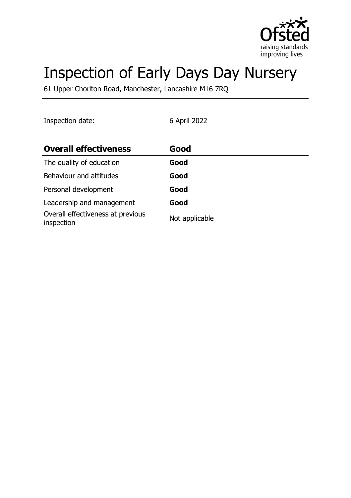

# Inspection of Early Days Day Nursery

61 Upper Chorlton Road, Manchester, Lancashire M16 7RQ

Inspection date: 6 April 2022

| <b>Overall effectiveness</b>                    | Good           |
|-------------------------------------------------|----------------|
| The quality of education                        | Good           |
| Behaviour and attitudes                         | Good           |
| Personal development                            | Good           |
| Leadership and management                       | Good           |
| Overall effectiveness at previous<br>inspection | Not applicable |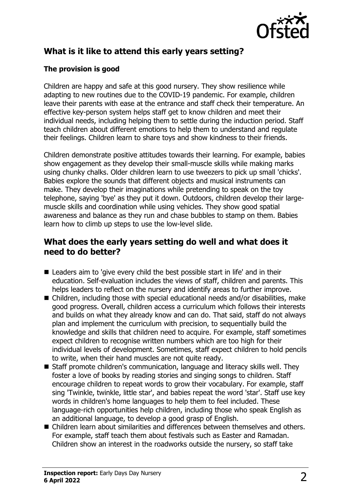

# **What is it like to attend this early years setting?**

#### **The provision is good**

Children are happy and safe at this good nursery. They show resilience while adapting to new routines due to the COVID-19 pandemic. For example, children leave their parents with ease at the entrance and staff check their temperature. An effective key-person system helps staff get to know children and meet their individual needs, including helping them to settle during the induction period. Staff teach children about different emotions to help them to understand and regulate their feelings. Children learn to share toys and show kindness to their friends.

Children demonstrate positive attitudes towards their learning. For example, babies show engagement as they develop their small-muscle skills while making marks using chunky chalks. Older children learn to use tweezers to pick up small 'chicks'. Babies explore the sounds that different objects and musical instruments can make. They develop their imaginations while pretending to speak on the toy telephone, saying 'bye' as they put it down. Outdoors, children develop their largemuscle skills and coordination while using vehicles. They show good spatial awareness and balance as they run and chase bubbles to stamp on them. Babies learn how to climb up steps to use the low-level slide.

#### **What does the early years setting do well and what does it need to do better?**

- Leaders aim to 'give every child the best possible start in life' and in their education. Self-evaluation includes the views of staff, children and parents. This helps leaders to reflect on the nursery and identify areas to further improve.
- $\blacksquare$  Children, including those with special educational needs and/or disabilities, make good progress. Overall, children access a curriculum which follows their interests and builds on what they already know and can do. That said, staff do not always plan and implement the curriculum with precision, to sequentially build the knowledge and skills that children need to acquire. For example, staff sometimes expect children to recognise written numbers which are too high for their individual levels of development. Sometimes, staff expect children to hold pencils to write, when their hand muscles are not quite ready.
- Staff promote children's communication, language and literacy skills well. They foster a love of books by reading stories and singing songs to children. Staff encourage children to repeat words to grow their vocabulary. For example, staff sing 'Twinkle, twinkle, little star', and babies repeat the word 'star'. Staff use key words in children's home languages to help them to feel included. These language-rich opportunities help children, including those who speak English as an additional language, to develop a good grasp of English.
- n Children learn about similarities and differences between themselves and others. For example, staff teach them about festivals such as Easter and Ramadan. Children show an interest in the roadworks outside the nursery, so staff take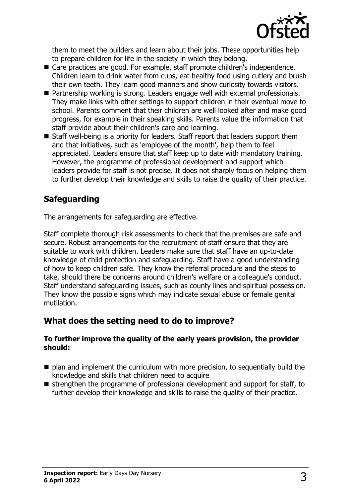

them to meet the builders and learn about their jobs. These opportunities help to prepare children for life in the society in which they belong.

- Care practices are good. For example, staff promote children's independence. Children learn to drink water from cups, eat healthy food using cutlery and brush their own teeth. They learn good manners and show curiosity towards visitors.
- Partnership working is strong. Leaders engage well with external professionals. They make links with other settings to support children in their eventual move to school. Parents comment that their children are well looked after and make good progress, for example in their speaking skills. Parents value the information that staff provide about their children's care and learning.
- $\blacksquare$  Staff well-being is a priority for leaders. Staff report that leaders support them and that initiatives, such as 'employee of the month', help them to feel appreciated. Leaders ensure that staff keep up to date with mandatory training. However, the programme of professional development and support which leaders provide for staff is not precise. It does not sharply focus on helping them to further develop their knowledge and skills to raise the quality of their practice.

## **Safeguarding**

The arrangements for safeguarding are effective.

Staff complete thorough risk assessments to check that the premises are safe and secure. Robust arrangements for the recruitment of staff ensure that they are suitable to work with children. Leaders make sure that staff have an up-to-date knowledge of child protection and safeguarding. Staff have a good understanding of how to keep children safe. They know the referral procedure and the steps to take, should there be concerns around children's welfare or a colleague's conduct. Staff understand safeguarding issues, such as county lines and spiritual possession. They know the possible signs which may indicate sexual abuse or female genital mutilation.

## **What does the setting need to do to improve?**

#### **To further improve the quality of the early years provision, the provider should:**

- $\blacksquare$  plan and implement the curriculum with more precision, to sequentially build the knowledge and skills that children need to acquire
- $\blacksquare$  strengthen the programme of professional development and support for staff, to further develop their knowledge and skills to raise the quality of their practice.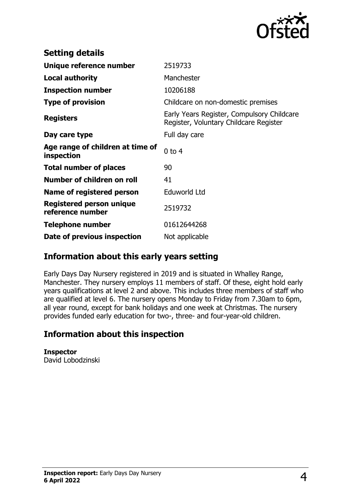

| <b>Setting details</b>                         |                                                                                      |
|------------------------------------------------|--------------------------------------------------------------------------------------|
| Unique reference number                        | 2519733                                                                              |
| <b>Local authority</b>                         | Manchester                                                                           |
| <b>Inspection number</b>                       | 10206188                                                                             |
| <b>Type of provision</b>                       | Childcare on non-domestic premises                                                   |
| <b>Registers</b>                               | Early Years Register, Compulsory Childcare<br>Register, Voluntary Childcare Register |
| Day care type                                  | Full day care                                                                        |
| Age range of children at time of<br>inspection | $0$ to $4$                                                                           |
| <b>Total number of places</b>                  | 90                                                                                   |
| Number of children on roll                     | 41                                                                                   |
| Name of registered person                      | Eduworld Ltd                                                                         |
| Registered person unique<br>reference number   | 2519732                                                                              |
| Telephone number                               | 01612644268                                                                          |
| Date of previous inspection                    | Not applicable                                                                       |

#### **Information about this early years setting**

Early Days Day Nursery registered in 2019 and is situated in Whalley Range, Manchester. They nursery employs 11 members of staff. Of these, eight hold early years qualifications at level 2 and above. This includes three members of staff who are qualified at level 6. The nursery opens Monday to Friday from 7.30am to 6pm, all year round, except for bank holidays and one week at Christmas. The nursery provides funded early education for two-, three- and four-year-old children.

#### **Information about this inspection**

**Inspector** David Lobodzinski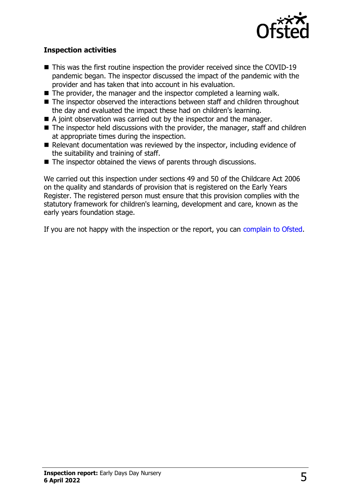

#### **Inspection activities**

- $\blacksquare$  This was the first routine inspection the provider received since the COVID-19 pandemic began. The inspector discussed the impact of the pandemic with the provider and has taken that into account in his evaluation.
- $\blacksquare$  The provider, the manager and the inspector completed a learning walk.
- $\blacksquare$  The inspector observed the interactions between staff and children throughout the day and evaluated the impact these had on children's learning.
- $\blacksquare$  A joint observation was carried out by the inspector and the manager.
- $\blacksquare$  The inspector held discussions with the provider, the manager, staff and children at appropriate times during the inspection.
- $\blacksquare$  Relevant documentation was reviewed by the inspector, including evidence of the suitability and training of staff.
- $\blacksquare$  The inspector obtained the views of parents through discussions.

We carried out this inspection under sections 49 and 50 of the Childcare Act 2006 on the quality and standards of provision that is registered on the Early Years Register. The registered person must ensure that this provision complies with the statutory framework for children's learning, development and care, known as the early years foundation stage.

If you are not happy with the inspection or the report, you can [complain to Ofsted](http://www.gov.uk/complain-ofsted-report).